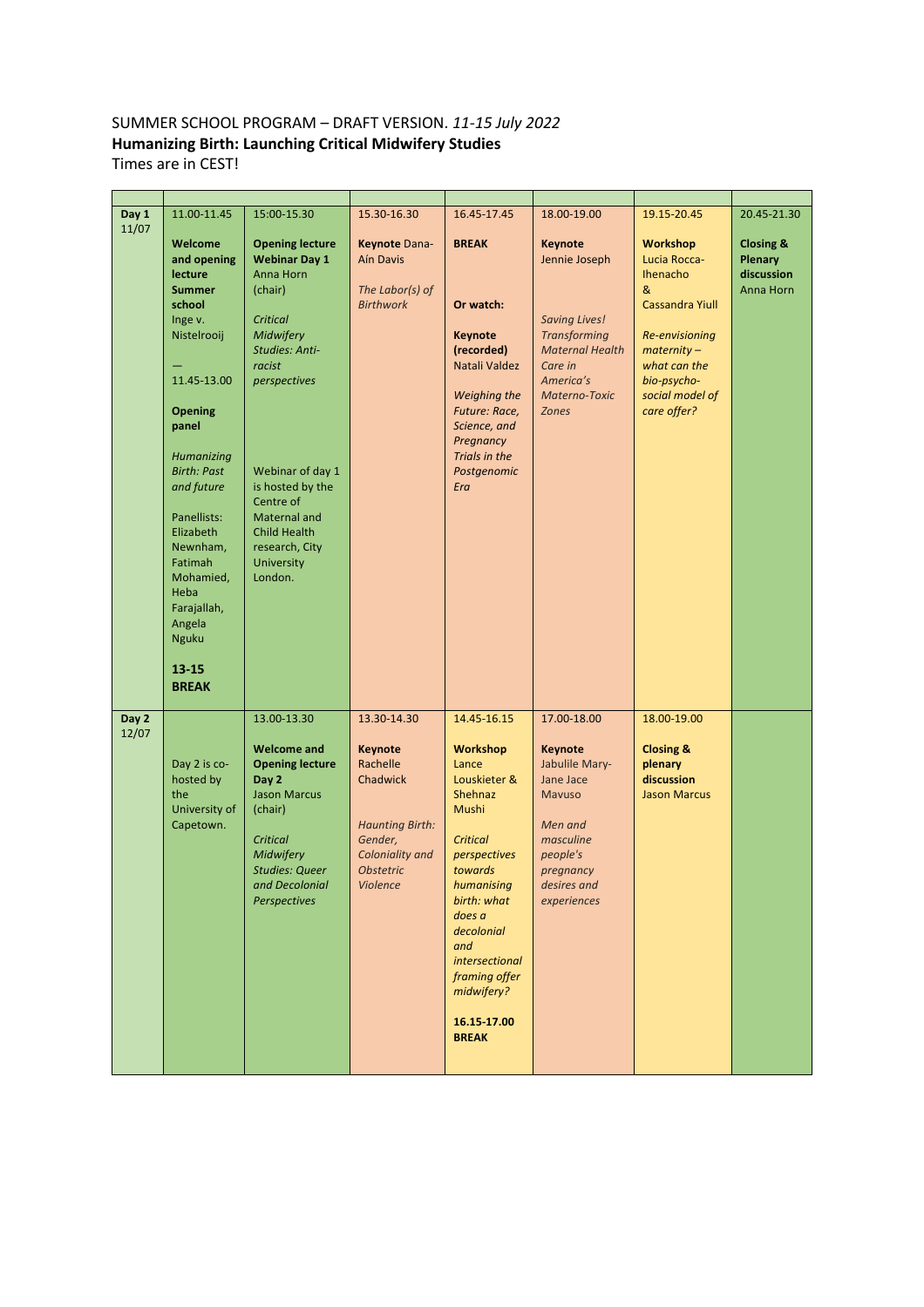## SUMMER SCHOOL PROGRAM – DRAFT VERSION. *11-15 July 2022* **Humanizing Birth: Launching Critical Midwifery Studies** Times are in CEST!

| Day 1<br>11/07 | 11.00-11.45<br>Welcome<br>and opening<br>lecture<br><b>Summer</b><br>school<br>Inge v.<br>Nistelrooij<br>11.45-13.00<br><b>Opening</b><br>panel<br>Humanizing<br><b>Birth: Past</b><br>and future<br>Panellists:<br>Elizabeth<br>Newnham,<br>Fatimah<br>Mohamied,<br>Heba<br>Farajallah,<br>Angela<br><b>Nguku</b><br>$13 - 15$<br><b>BREAK</b> | 15:00-15.30<br><b>Opening lecture</b><br><b>Webinar Day 1</b><br>Anna Horn<br>(chair)<br>Critical<br>Midwifery<br><b>Studies: Anti-</b><br>racist<br>perspectives<br>Webinar of day 1<br>is hosted by the<br>Centre of<br>Maternal and<br><b>Child Health</b><br>research, City<br>University<br>London. | 15.30-16.30<br>Keynote Dana-<br><b>Aín Davis</b><br>The Labor(s) of<br><b>Birthwork</b>                                                       | 16.45-17.45<br><b>BREAK</b><br>Or watch:<br><b>Keynote</b><br>(recorded)<br>Natali Valdez<br>Weighing the<br>Future: Race,<br>Science, and<br>Pregnancy<br>Trials in the<br>Postgenomic<br>Era                                                                        | 18.00-19.00<br><b>Keynote</b><br>Jennie Joseph<br><b>Saving Lives!</b><br><b>Transforming</b><br><b>Maternal Health</b><br>Care in<br>America's<br>Materno-Toxic<br><b>Zones</b> | 19.15-20.45<br><b>Workshop</b><br>Lucia Rocca-<br><b>Ihenacho</b><br>&<br><b>Cassandra Yiull</b><br>Re-envisioning<br>$\textit{maternity}-$<br>what can the<br>bio-psycho-<br>social model of<br>care offer? | 20.45-21.30<br><b>Closing &amp;</b><br>Plenary<br>discussion<br>Anna Horn |
|----------------|-------------------------------------------------------------------------------------------------------------------------------------------------------------------------------------------------------------------------------------------------------------------------------------------------------------------------------------------------|----------------------------------------------------------------------------------------------------------------------------------------------------------------------------------------------------------------------------------------------------------------------------------------------------------|-----------------------------------------------------------------------------------------------------------------------------------------------|-----------------------------------------------------------------------------------------------------------------------------------------------------------------------------------------------------------------------------------------------------------------------|----------------------------------------------------------------------------------------------------------------------------------------------------------------------------------|--------------------------------------------------------------------------------------------------------------------------------------------------------------------------------------------------------------|---------------------------------------------------------------------------|
| Day 2<br>12/07 | Day 2 is co-<br>hosted by<br>the<br>University of<br>Capetown.                                                                                                                                                                                                                                                                                  | 13.00-13.30<br><b>Welcome and</b><br><b>Opening lecture</b><br>Day 2<br><b>Jason Marcus</b><br>(chair)<br>Critical<br>Midwifery<br><b>Studies: Queer</b><br>and Decolonial<br>Perspectives                                                                                                               | 13.30-14.30<br><b>Keynote</b><br>Rachelle<br>Chadwick<br><b>Haunting Birth:</b><br>Gender,<br>Coloniality and<br><b>Obstetric</b><br>Violence | 14.45-16.15<br><b>Workshop</b><br>Lance<br>Louskieter &<br>Shehnaz<br>Mushi<br><b>Critical</b><br>perspectives<br>towards<br>humanising<br>birth: what<br>does a<br>decolonial<br>and<br>intersectional<br>framing offer<br>midwifery?<br>16.15 17.00<br><b>BREAK</b> | 17.00-18.00<br>Keynote<br>Jabulile Mary-<br>Jane Jace<br><b>Mavuso</b><br>Men and<br>masculine<br>people's<br>pregnancy<br>desires and<br>experiences                            | 18.00-19.00<br><b>Closing &amp;</b><br>plenary<br>discussion<br><b>Jason Marcus</b>                                                                                                                          |                                                                           |